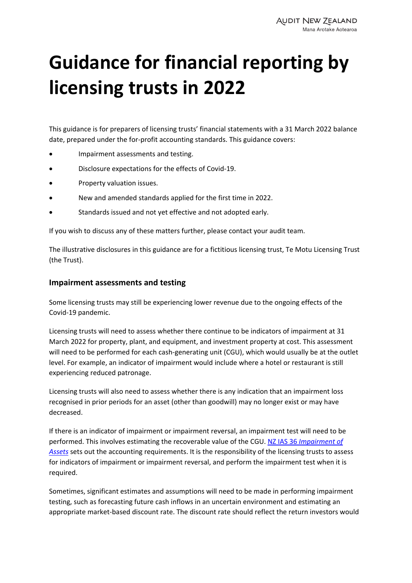# **Guidance for financial reporting by licensing trusts in 2022**

This guidance is for preparers of licensing trusts' financial statements with a 31 March 2022 balance date, prepared under the for-profit accounting standards. This guidance covers:

- Impairment assessments and testing.
- Disclosure expectations for the effects of Covid‐19.
- Property valuation issues.
- New and amended standards applied for the first time in 2022.
- Standards issued and not yet effective and not adopted early.

If you wish to discuss any of these matters further, please contact your audit team.

The illustrative disclosures in this guidance are for a fictitious licensing trust, Te Motu Licensing Trust (the Trust).

#### **Impairment assessments and testing**

Some licensing trusts may still be experiencing lower revenue due to the ongoing effects of the Covid‐19 pandemic.

Licensing trusts will need to assess whether there continue to be indicators of impairment at 31 March 2022 for property, plant, and equipment, and investment property at cost. This assessment will need to be performed for each cash-generating unit (CGU), which would usually be at the outlet level. For example, an indicator of impairment would include where a hotel or restaurant is still experiencing reduced patronage.

Licensing trusts will also need to assess whether there is any indication that an impairment loss recognised in prior periods for an asset (other than goodwill) may no longer exist or may have decreased.

If there is an indicator of impairment or impairment reversal, an impairment test will need to be performed. This involves estimating the recoverable value of the CGU. NZ IAS 36 *Impairment of Assets* sets out the accounting [requirements.](https://xrb.govt.nz/accounting-standards/for-profit-entities/nz-ias-36/) It is the responsibility of the licensing trusts to assess for indicators of impairment or impairment reversal, and perform the impairment test when it is required.

Sometimes, significant estimates and assumptions will need to be made in performing impairment testing, such as forecasting future cash inflows in an uncertain environment and estimating an appropriate market‐based discount rate. The discount rate should reflect the return investors would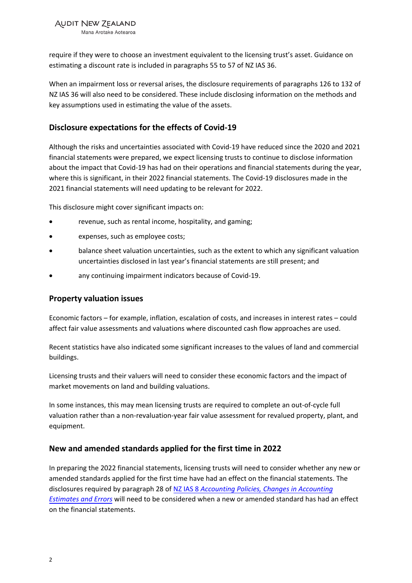**AUDIT NEW ZEALAND** 

Mana Arotake Aotearoa

require if they were to choose an investment equivalent to the licensing trust's asset. Guidance on estimating a discount rate is included in paragraphs 55 to 57 of NZ IAS 36.

When an impairment loss or reversal arises, the disclosure requirements of paragraphs 126 to 132 of NZ IAS 36 will also need to be considered. These include disclosing information on the methods and key assumptions used in estimating the value of the assets.

# **Disclosure expectations for the effects of Covid‐19**

Although the risks and uncertainties associated with Covid‐19 have reduced since the 2020 and 2021 financial statements were prepared, we expect licensing trusts to continue to disclose information about the impact that Covid‐19 has had on their operations and financial statements during the year, where this is significant, in their 2022 financial statements. The Covid-19 disclosures made in the 2021 financial statements will need updating to be relevant for 2022.

This disclosure might cover significant impacts on:

- revenue, such as rental income, hospitality, and gaming;
- expenses, such as employee costs;
- balance sheet valuation uncertainties, such as the extent to which any significant valuation uncertainties disclosed in last year's financial statements are still present; and
- any continuing impairment indicators because of Covid‐19.

### **Property valuation issues**

Economic factors – for example, inflation, escalation of costs, and increases in interest rates – could affect fair value assessments and valuations where discounted cash flow approaches are used.

Recent statistics have also indicated some significant increases to the values of land and commercial buildings.

Licensing trusts and their valuers will need to consider these economic factors and the impact of market movements on land and building valuations.

In some instances, this may mean licensing trusts are required to complete an out‐of‐cycle full valuation rather than a non‐revaluation‐year fair value assessment for revalued property, plant, and equipment.

## **New and amended standards applied for the first time in 2022**

In preparing the 2022 financial statements, licensing trusts will need to consider whether any new or amended standards applied for the first time have had an effect on the financial statements. The disclosures required by paragraph 28 of NZ IAS 8 *[Accounting](https://xrb.govt.nz/accounting-standards/for-profit-entities/nz-ias-8/) Policies, Changes in Accounting Estimates and Errors* will need to be considered when a new or amended standard has had an effect on the financial statements.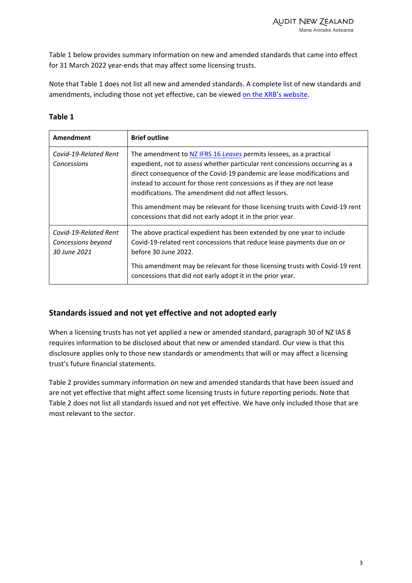Table 1 below provides summary information on new and amended standards that came into effect for 31 March 2022 year‐ends that may affect some licensing trusts.

Note that Table 1 does not list all new and amended standards. A complete list of new standards and amendments, including those not yet effective, can be viewed on the XRB's [website.](https://www.xrb.govt.nz/accounting-standards/recent-approvals/)

### **Table 1**

| Amendment                                                   | <b>Brief outline</b>                                                                                                                                                                                                                                                                                                                                                                                                                                                                                         |
|-------------------------------------------------------------|--------------------------------------------------------------------------------------------------------------------------------------------------------------------------------------------------------------------------------------------------------------------------------------------------------------------------------------------------------------------------------------------------------------------------------------------------------------------------------------------------------------|
| Covid-19-Related Rent<br>Concessions                        | The amendment to NZ IFRS 16 Leases permits lessees, as a practical<br>expedient, not to assess whether particular rent concessions occurring as a<br>direct consequence of the Covid-19 pandemic are lease modifications and<br>instead to account for those rent concessions as if they are not lease<br>modifications. The amendment did not affect lessors.<br>This amendment may be relevant for those licensing trusts with Covid-19 rent<br>concessions that did not early adopt it in the prior year. |
| Covid-19-Related Rent<br>Concessions beyond<br>30 June 2021 | The above practical expedient has been extended by one year to include<br>Covid-19-related rent concessions that reduce lease payments due on or<br>before 30 June 2022.                                                                                                                                                                                                                                                                                                                                     |
|                                                             | This amendment may be relevant for those licensing trusts with Covid-19 rent<br>concessions that did not early adopt it in the prior year.                                                                                                                                                                                                                                                                                                                                                                   |

## **Standards issued and not yet effective and not adopted early**

When a licensing trusts has not yet applied a new or amended standard, paragraph 30 of NZ IAS 8 requires information to be disclosed about that new or amended standard. Our view is that this disclosure applies only to those new standards or amendments that will or may affect a licensing trust's future financial statements.

Table 2 provides summary information on new and amended standards that have been issued and are not yet effective that might affect some licensing trusts in future reporting periods. Note that Table 2 does not list all standards issued and not yet effective. We have only included those that are most relevant to the sector.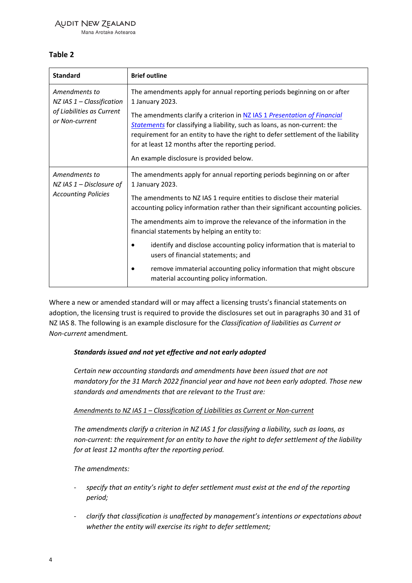## **AUDIT NEW ZEALAND**

Mana Arotake Aotearoa

## **Table 2**

| <b>Standard</b>                                                                               | <b>Brief outline</b>                                                                                                                                                                                                                                                                                                                         |
|-----------------------------------------------------------------------------------------------|----------------------------------------------------------------------------------------------------------------------------------------------------------------------------------------------------------------------------------------------------------------------------------------------------------------------------------------------|
| Amendments to<br>$NZ$ IAS $1$ – Classification<br>of Liabilities as Current<br>or Non-current | The amendments apply for annual reporting periods beginning on or after<br>1 January 2023.                                                                                                                                                                                                                                                   |
|                                                                                               | The amendments clarify a criterion in NZ IAS 1 Presentation of Financial<br>Statements for classifying a liability, such as loans, as non-current: the<br>requirement for an entity to have the right to defer settlement of the liability<br>for at least 12 months after the reporting period.<br>An example disclosure is provided below. |
| Amendments to<br>NZ IAS $1$ – Disclosure of<br><b>Accounting Policies</b>                     | The amendments apply for annual reporting periods beginning on or after<br>1 January 2023.                                                                                                                                                                                                                                                   |
|                                                                                               | The amendments to NZ IAS 1 require entities to disclose their material<br>accounting policy information rather than their significant accounting policies.                                                                                                                                                                                   |
|                                                                                               | The amendments aim to improve the relevance of the information in the<br>financial statements by helping an entity to:                                                                                                                                                                                                                       |
|                                                                                               | identify and disclose accounting policy information that is material to<br>users of financial statements; and                                                                                                                                                                                                                                |
|                                                                                               | remove immaterial accounting policy information that might obscure<br>material accounting policy information.                                                                                                                                                                                                                                |

Where a new or amended standard will or may affect a licensing trusts's financial statements on adoption, the licensing trust is required to provide the disclosures set out in paragraphs 30 and 31 of NZ IAS 8. The following is an example disclosure for the *Classification of liabilities as Current or Non‐current* amendment*.*

### *Standards issued and not yet effective and not early adopted*

*Certain new accounting standards and amendments have been issued that are not mandatory for the 31 March 2022 financial year and have not been early adopted. Those new standards and amendments that are relevant to the Trust are:*

### *Amendments to NZ IAS 1 – Classification of Liabilities as Current or Non‐current*

*The amendments clarify a criterion in NZ IAS 1 for classifying a liability, such as loans, as non‐current: the requirement for an entity to have the right to defer settlement of the liability for at least 12 months after the reporting period.*

*The amendments:*

- ‐ *specify that an entity's right to defer settlement must exist at the end of the reporting period;*
- ‐ *clarify that classification is unaffected by management's intentions or expectations about whether the entity will exercise its right to defer settlement;*